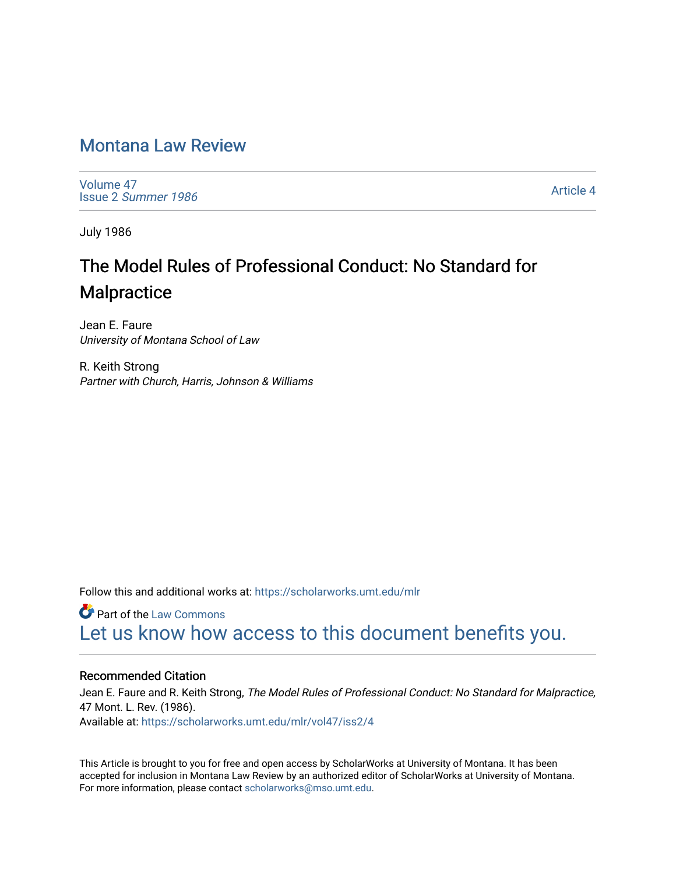# [Montana Law Review](https://scholarworks.umt.edu/mlr)

[Volume 47](https://scholarworks.umt.edu/mlr/vol47) Issue 2 [Summer 1986](https://scholarworks.umt.edu/mlr/vol47/iss2) 

[Article 4](https://scholarworks.umt.edu/mlr/vol47/iss2/4) 

July 1986

# The Model Rules of Professional Conduct: No Standard for **Malpractice**

Jean E. Faure University of Montana School of Law

R. Keith Strong Partner with Church, Harris, Johnson & Williams

Follow this and additional works at: [https://scholarworks.umt.edu/mlr](https://scholarworks.umt.edu/mlr?utm_source=scholarworks.umt.edu%2Fmlr%2Fvol47%2Fiss2%2F4&utm_medium=PDF&utm_campaign=PDFCoverPages) 

**C** Part of the [Law Commons](http://network.bepress.com/hgg/discipline/578?utm_source=scholarworks.umt.edu%2Fmlr%2Fvol47%2Fiss2%2F4&utm_medium=PDF&utm_campaign=PDFCoverPages) [Let us know how access to this document benefits you.](https://goo.gl/forms/s2rGfXOLzz71qgsB2) 

#### Recommended Citation

Jean E. Faure and R. Keith Strong, The Model Rules of Professional Conduct: No Standard for Malpractice, 47 Mont. L. Rev. (1986). Available at: [https://scholarworks.umt.edu/mlr/vol47/iss2/4](https://scholarworks.umt.edu/mlr/vol47/iss2/4?utm_source=scholarworks.umt.edu%2Fmlr%2Fvol47%2Fiss2%2F4&utm_medium=PDF&utm_campaign=PDFCoverPages) 

This Article is brought to you for free and open access by ScholarWorks at University of Montana. It has been accepted for inclusion in Montana Law Review by an authorized editor of ScholarWorks at University of Montana. For more information, please contact [scholarworks@mso.umt.edu.](mailto:scholarworks@mso.umt.edu)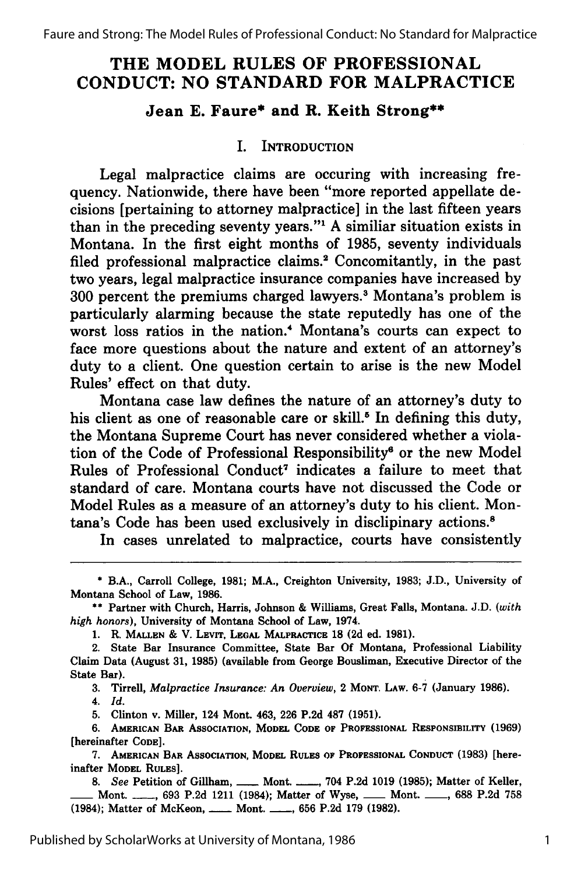# **THE MODEL RULES OF PROFESSIONAL CONDUCT: NO STANDARD FOR MALPRACTICE**

# **Jean E. Faure\* and R. Keith Strong\*\***

#### **I.** INTRODUCTION

Legal malpractice claims are occuring with increasing frequency. Nationwide, there have been "more reported appellate decisions [pertaining to attorney malpractice] in the last fifteen years than in the preceding seventy years."1 **A** similiar situation exists in Montana. In the first eight months of **1985,** seventy individuals filed professional malpractice claims.<sup>2</sup> Concomitantly, in the past two years, legal malpractice insurance companies have increased **by 300** percent the premiums charged lawyers. 3 Montana's problem is particularly alarming because the state reputedly has one of the worst loss ratios in the nation.<sup>4</sup> Montana's courts can expect to face more questions about the nature and extent of an attorney's duty to a client. One question certain to arise is the new Model Rules' effect on that duty.

Montana case law defines the nature of an attorney's duty to his client as one of reasonable care or skill.<sup>5</sup> In defining this duty, the Montana Supreme Court has never considered whether a violation of the Code of Professional Responsibility<sup>6</sup> or the new Model Rules of Professional Conduct<sup>7</sup> indicates a failure to meet that standard of care. Montana courts have not discussed the Code or Model Rules as a measure of an attorney's duty to his client. Montana's Code has been used exclusively in disclipinary actions.<sup>8</sup>

In cases unrelated to malpractice, courts have consistently

3. Tirrell, *Malpractice Insurance: An Overview,* 2 **MONT.** LAW. **6-7** (January 1986).

4. *Id.*

**5.** Clinton v. Miller, 124 Mont. 463, **226 P.2d 487 (1951).**

**6. AMERICAN BAR ASSOCIATION, MODEL CODE OF PROFESSIONAL RESPONSIBILITY** (1969) [hereinafter **CODE].**

**7. AMERICAN BAR ASSOCIATION, MODEL RULES OF PROFESSIONAL CONDUCT (1983) [hereinafter MODEL RULES].**

**8.** *See* Petition of Gillham, **- Mont. - ,** 704 **P.2d 1019 (1985); Matter of Keller,** \_\_ Mont. **-, 693 P.2d** 1211 (1984); Matter of Wyse, **-** Mont. **-, 688 P.2d 758** (1984); Matter of McKeon, **-** Mont. **-** 656 P.2d 179 (1982).

**<sup>\*</sup>** B.A., Carroll College, **1981;** M.A., Creighton University, **1983; J.D.,** University of Montana School of Law, **1986.**

**<sup>\*\*</sup>** Partner with Church, Harris, Johnson **&** Williams, Great Falls, Montana. **J.D.** *(with high honors),* University of Montana School of Law, 1974.

**<sup>1.</sup>** R. **MALLEN &** V. **LEvr, LEGAL MALPRACTICE 18 (2d** ed. **1981).**

**<sup>2.</sup>** State Bar Insurance Committee, State Bar **Of** Montana, Professional Liability Claim Data (August **31, 1985)** (available from George Bousliman, Executive Director of the State Bar).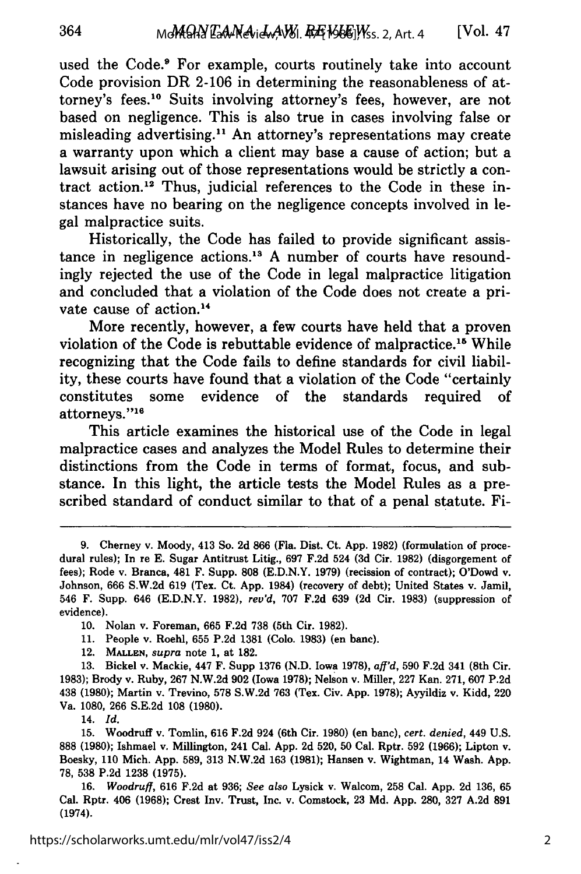used the Code.<sup>9</sup> For example, courts routinely take into account Code provision DR 2-106 in determining the reasonableness of attorney's fees.<sup>10</sup> Suits involving attorney's fees, however, are not based on negligence. This is also true in cases involving false or misleading advertising.<sup>11</sup> An attorney's representations may create a warranty upon which a client may base a cause of action; but a lawsuit arising out of those representations would be strictly a contract action.<sup>12</sup> Thus, judicial references to the Code in these instances have no bearing on the negligence concepts involved in legal malpractice suits.

Historically, the Code has failed to provide significant assistance in negligence actions.<sup>13</sup> A number of courts have resoundingly rejected the use of the Code in legal malpractice litigation and concluded that a violation of the Code does not create a private cause of action.14

More recently, however, a few courts have held that a proven violation of the Code is rebuttable evidence of malpractice."6 While recognizing that the Code fails to define standards for civil liability, these courts have found that a violation of the Code "certainly constitutes some evidence of the standards required of attorneys."16

This article examines the historical use of the Code in legal malpractice cases and analyzes the Model Rules to determine their distinctions from the Code in terms of format, focus, and substance. In this light, the article tests the Model Rules as a prescribed standard of conduct similar to that of a penal statute. Fi-

14. *Id.*

15. Woodruff v. Tomlin, 616 F.2d 924 (6th Cir. 1980) (en banc), *cert. denied,* 449 U.S. 888 (1980); Ishmael v. Millington, 241 Cal. App. 2d 520, 50 Cal. Rptr. 592 (1966); Lipton v. Boesky, 110 Mich. App. 589, 313 N.W.2d 163 (1981); Hansen v. Wightman, 14 Wash. App. 78, 538 P.2d 1238 (1975).

16. *Woodruff,* 616 F.2d at 936; *See also* Lysick v. Walcom, 258 Cal. App. 2d 136, 65 Cal. Rptr. 406 (1968); Crest Inv. Trust, Inc. v. Comstock, 23 Md. App. 280, 327 A.2d 891 (1974).

**<sup>9.</sup>** Cherney v. Moody, 413 So. 2d 866 (Fla. Dist. Ct. App. 1982) (formulation of procedural rules); In re E. Sugar Antitrust Litig., 697 F.2d 524 (3d Cir. 1982) (disgorgement of fees); Rode v. Branca, 481 F. Supp. **808** (E.D.N.Y. 1979) (recission of contract); O'Dowd v. Johnson, 666 S.W.2d 619 (Tex. Ct. App. 1984) (recovery of debt); United States v. Jamil, 546 F. Supp. 646 (E.D.N.Y. 1982), *rev'd,* 707 F.2d 639 (2d Cir. 1983) (suppression of evidence).

<sup>10.</sup> Nolan v. Foreman, 665 F.2d 738 (5th Cir. 1982).

<sup>11.</sup> People v. Roehl, 655 P.2d 1381 (Colo. 1983) (en bane).

<sup>12.</sup> **MALLEN,** *supra* note 1, at 182.

<sup>13.</sup> Bickel v. Mackie, 447 F. Supp 1376 (N.D. Iowa 1978), *aff'd,* 590 F.2d 341 (8th Cir. 1983); Brody v. Ruby, 267 N.W.2d 902 (Iowa 1978); Nelson v. Miller, 227 Kan. 271, 607 P.2d 438 (1980); Martin v. Trevino, **578** S.W.2d 763 (Tex. Civ. App. 1978); Ayyildiz v. Kidd, 220 Va. 1080, 266 S.E.2d 108 (1980).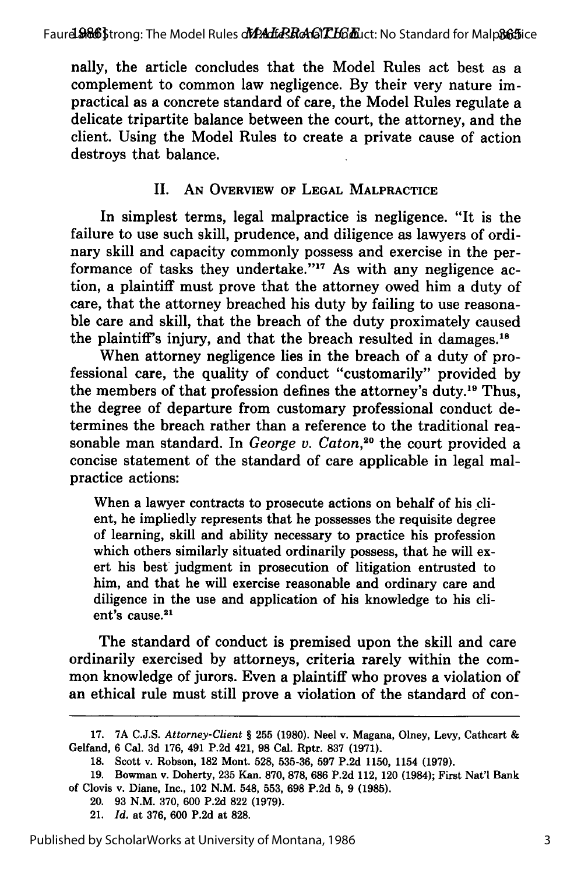nally, the article concludes that the Model Rules act best as a complement to common law negligence. By their very nature impractical as a concrete standard of care, the Model Rules regulate a delicate tripartite balance between the court, the attorney, and the client. Using the Model Rules to create a private cause of action destroys that balance.

## II. AN **OVERVIEW OF LEGAL MALPRACTICE**

In simplest terms, legal malpractice is negligence. "It is the failure to use such skill, prudence, and diligence as lawyers of ordinary skill and capacity commonly possess and exercise in the performance of tasks they undertake."<sup>17</sup> As with any negligence action, a plaintiff must prove that the attorney owed him a duty of care, that the attorney breached his duty **by** failing to use reasonable care and skill, that the breach of the duty proximately caused the plaintiff's injury, and that the breach resulted in damages.18

When attorney negligence lies in the breach of a duty of professional care, the quality of conduct "customarily" provided **by** the members of that profession defines the attorney's duty.<sup>19</sup> Thus, the degree of departure from customary professional conduct determines the breach rather than a reference to the traditional reasonable man standard. In *George v. Caton*,<sup>20</sup> the court provided a concise statement of the standard of care applicable in legal malpractice actions:

When a lawyer contracts to prosecute actions on behalf of his client, he impliedly represents that he possesses the requisite degree of learning, skill and ability necessary to practice his profession which others similarly situated ordinarily possess, that he will exert his best judgment in prosecution of litigation entrusted to him, and that he will exercise reasonable and ordinary care and diligence in the use and application of his knowledge to his client's cause.<sup>21</sup>

The standard of conduct is premised upon the skill and care ordinarily exercised by attorneys, criteria rarely within the common knowledge of jurors. Even a plaintiff who proves a violation of an ethical rule must still prove a violation of the standard of con-

- 20. **93 N.M. 370, 600 P.2d 822 (1979).**
- 21. *Id.* at **376, 600 P.2d** at **828.**

**<sup>17. 7</sup>A C.J.S.** *Attorney-Client §* **255 (1980). Neel v. Magana, Olney, Levy, Cathcart &** Gelfand, **6** Cal. **3d 176,** 491 **P.2d** 421, **98** Cal. **Rptr. 837 (1971).**

**<sup>18.</sup>** Scott **v. Robson, 182 Mont. 528, 535-36, 597 P.2d 1150,** 1154 **(1979).**

**<sup>19.</sup> Bowman v.** Doherty, **235** Kan. **870, 878, 686 P.2d 112,** 120 (1984); First Nat'l Bank of Clovis **v.** Diane, **Inc.,** 102 **N.M.** 548, **553, 698 P.2d 5, 9 (1985).**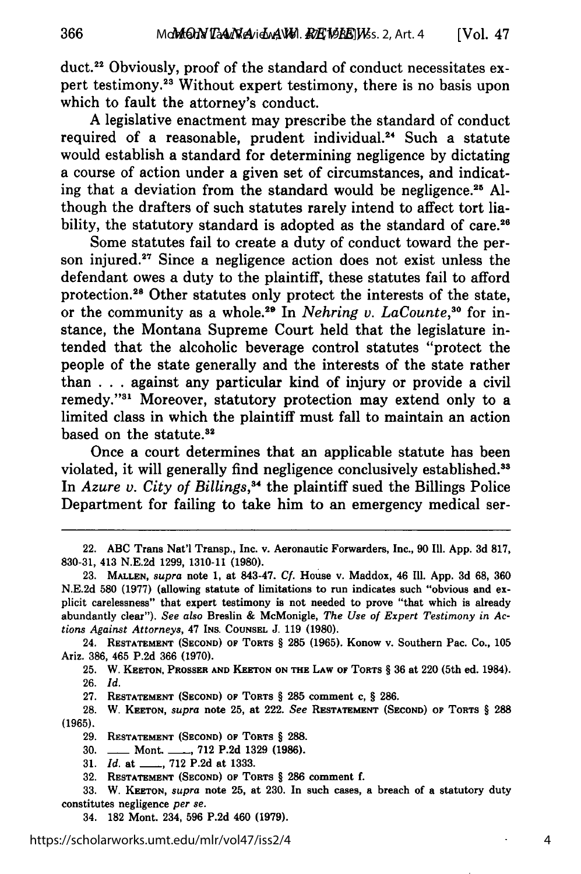duct. 22 Obviously, proof of the standard of conduct necessitates expert testimony.<sup>23</sup> Without expert testimony, there is no basis upon which to fault the attorney's conduct.

A legislative enactment may prescribe the standard of conduct required of a reasonable, prudent individual.<sup>24</sup> Such a statute would establish a standard for determining negligence by dictating a course of action under a given set of circumstances, and indicating that a deviation from the standard would be negligence. 25 Although the drafters of such statutes rarely intend to affect tort liability, the statutory standard is adopted as the standard of care.<sup>26</sup>

Some statutes fail to create a duty of conduct toward the person injured.<sup>27</sup> Since a negligence action does not exist unless the defendant owes a duty to the plaintiff, these statutes fail to afford protection.<sup>28</sup> Other statutes only protect the interests of the state, or the community as a whole.<sup>29</sup> In *Nehring v. LaCounte*,<sup>30</sup> for instance, the Montana Supreme Court held that the legislature intended that the alcoholic beverage control statutes "protect the people of the state generally and the interests of the state rather than . . .against any particular kind of injury or provide a civil remedy."31 Moreover, statutory protection may extend only to a limited class in which the plaintiff must fall to maintain an action based on the statute.<sup>32</sup>

Once a court determines that an applicable statute has been violated, it will generally find negligence conclusively established.<sup>33</sup> In *Azure v. City of Billings*,<sup>34</sup> the plaintiff sued the Billings Police Department for failing to take him to an emergency medical ser-

24. **RESTATEMENT (SECOND) OF** TORTS § **285 (1965).** Konow v. Southern Pac. Co., **105** Ariz. **386,** 465 P.2d **366** (1970).

**25.** W. **KEETON,** PROSSER **AND KEETON ON THE** LAW OF **TORTS** § 36 at 220 (5th ed. 1984). **26.** *Id.*

27. **RESTATEMENT (SECOND)** OF TORTS § 285 comment c, § **286.**

**28.** W. **KEETON,** *supra* note **25, at** 222. *See* **RESTATEMENT (SECOND)** OF **TORTS** § **288 (1965).**

**29. RESTATEMENT (SECOND)** OF **TORTS § 288.**

30. **-** Mont. **- , 712** P.2d **1329 (1986).**

**31.** *Id.* **at \_\_, 712** P.2d **at 1333.**

34. **182** Mont. 234, **596** P.2d 460 **(1979).**

<sup>22.</sup> **ABC** Trans Nat'l Transp., Inc. v. Aeronautic Forwarders, Inc., **90** Ill. App. 3d **817, 830-31,** 413 N.E.2d **1299,** 1310-11 **(1980).**

**<sup>23.</sup> MALLEN,** *supra* note 1, at 843-47. **Cf.** House v. Maddox, 46 **111.** App. 3d **68, 360** N.E.2d **580** (1977) (allowing statute of limitations to run indicates such "obvious and explicit carelessness" that expert testimony is not needed to prove "that which is already abundantly clear"). *See also* Breslin & McMonigle, *The Use of Expert Testimony in Actions Against Attorneys,* 47 INS. **COUNSEL** J. **119 (1980).**

**<sup>32.</sup>** RESTATEMENT **(SECOND)** OF **TORTS** § **286 comment f.**

**<sup>33.</sup>** W. **KEETON,** *supra* note **25, at 230.** In such **cases, a breach of a** statutory duty constitutes **negligence** *per se.*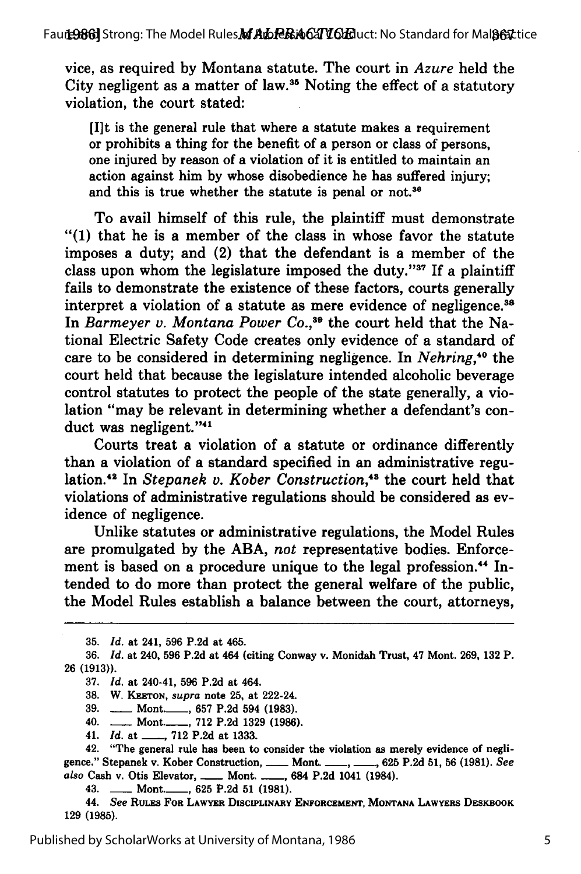vice, as required by Montana statute. The court in *Azure* held the City negligent as a matter of **law.35** Noting the effect of a statutory violation, the court stated:

[I]t is the general rule that where a statute makes a requirement or prohibits a thing for the benefit of a person or class of persons, one injured by reason of a violation of it is entitled to maintain an action against him by whose disobedience he has suffered injury; and this is true whether the statute is penal or not.<sup>36</sup>

To avail himself of this rule, the plaintiff must demonstrate "(1) that he is a member of the class in whose favor the statute imposes a duty; and (2) that the defendant is a member of the class upon whom the legislature imposed the duty." $37$  If a plaintiff fails to demonstrate the existence of these factors, courts generally interpret a violation of a statute as mere evidence of negligence.<sup>38</sup> In *Barmeyer v. Montana Power Co.,39* the court held that the National Electric Safety Code creates only evidence of a standard of care to be considered in determining negligence. In *Nehring*,<sup>40</sup> the court held that because the legislature intended alcoholic beverage control statutes to protect the people of the state generally, a violation "may be relevant in determining whether a defendant's conduct was negligent."<sup>41</sup>

Courts treat a violation of a statute or ordinance differently than a violation of a standard specified in an administrative regulation.<sup>42</sup> In *Stepanek v. Kober Construction*,<sup>43</sup> the court held that violations of administrative regulations should be considered as evidence of negligence.

Unlike statutes or administrative regulations, the Model Rules are promulgated by the ABA, *not* representative bodies. Enforcement is based on a procedure unique to the legal profession.<sup>44</sup> Intended to do more than protect the general welfare of the public, the Model Rules establish a balance between the court, attorneys,

<sup>35.</sup> *Id.* at 241, 596 P.2d at 465.

<sup>36.</sup> *Id.* at 240, **596** P.2d at 464 (citing Conway v. Monidah Trust, 47 Mont. 269, 132 P. 26 **(1913)).**

<sup>37.</sup> *Id.* at 240-41, 596 P.2d at 464.

<sup>38.</sup> W. **KEETON,** *supra* note 25, at 222-24.

<sup>39.</sup> **----- Mont.** 657 P.2d 594 (1983).

<sup>40.</sup> **-** Mont.-\_, 712 P.2d 1329 **(1986).**

<sup>41.</sup> *Id.* at \_\_\_\_, 712 P.2d at 1333.

<sup>42. &</sup>quot;The general rule has been to consider the violation as merely evidence of negligence." Stepanek v. Kober Construction, **----- Mont. ------, 625 P.2d 51, 56 (1981)**. See *also* Cash **v.** Otis Elevator, **-** Mont. **- ,** 684 **P.2d** 1041 (1984).

<sup>43.</sup> **-- Mont.** 625 P.2d 51 (1981).

<sup>44.</sup> *See* RULES **FOR LAWYER DISCIPLINARY ENFORCEMENT, MONTANA LAWYERS** DESKBOOK **129 (1985).**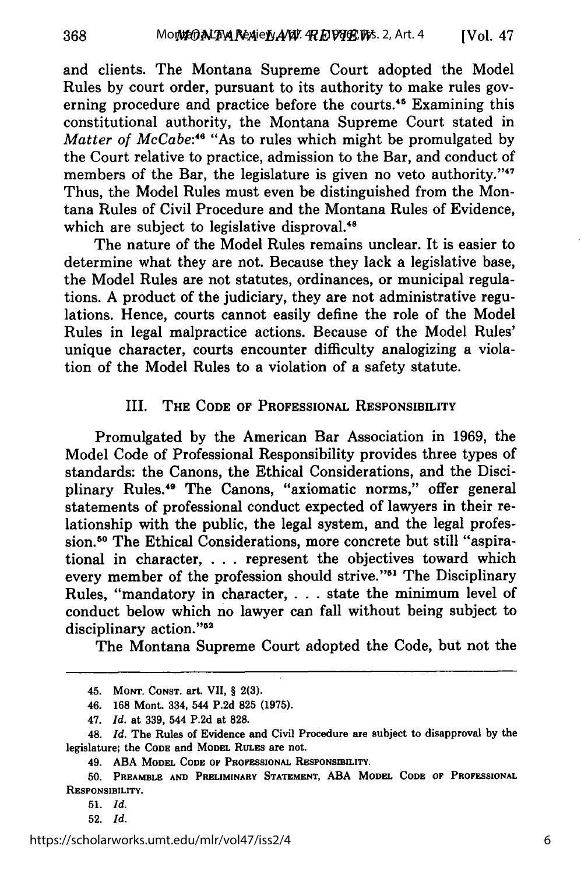and clients. The Montana Supreme Court adopted the Model Rules by court order, pursuant to its authority to make rules governing procedure and practice before the courts.<sup>45</sup> Examining this constitutional authority, the Montana Supreme Court stated in *Matter of McCabe:46* "As to rules which might be promulgated by the Court relative to practice, admission to the Bar, and conduct of members of the Bar, the legislature is given no veto authority."<sup>47</sup> Thus, the Model Rules must even be distinguished from the Montana Rules of Civil Procedure and the Montana Rules of Evidence, which are subject to legislative disproval.<sup>48</sup>

The nature of the Model Rules remains unclear. It is easier to determine what they are not. Because they lack a legislative base, the Model Rules are not statutes, ordinances, or municipal regulations. A product of the judiciary, they are not administrative regulations. Hence, courts cannot easily define the role of the Model Rules in legal malpractice actions. Because of the Model Rules' unique character, courts encounter difficulty analogizing a violation of the Model Rules to a violation of a safety statute.

#### III. THE **CODE** OF **PROFESSIONAL** RESPONSIBILITY

Promulgated **by** the American Bar Association in **1969,** the Model Code of Professional Responsibility provides three types of standards: the Canons, the Ethical Considerations, and the Disciplinary Rules.<sup>49</sup> The Canons, "axiomatic norms," offer general statements of professional conduct expected of lawyers in their relationship with the public, the legal system, and the legal profession.<sup>50</sup> The Ethical Considerations, more concrete but still "aspirational in character, **. . .** represent the objectives toward which every member of the profession should strive."<sup>51</sup> The Disciplinary Rules, "mandatory in character, **.** . **.** state the minimum level of conduct below which no lawyer can fall without being subject to disciplinary action."<sup>52</sup>

The Montana Supreme Court adopted the Code, but not the

52. *Id.*

<sup>45.</sup> **MONT.** CONST. art. VII, § **2(3).**

<sup>46.</sup> **168** Mont. 334, 544 **P.2d 825 (1975).**

<sup>47.</sup> *Id.* at **339,** 544 **P.2d** at **828.**

<sup>48.</sup> *Id.* The Rules of Evidence and Civil Procedure are subject to disapproval **by** the **legislature; the CODE and MODEL RULES are not.**

<sup>49.</sup> **ABA MODEL CODE OF PROFESSIONAL** RESPONSIBILITY.

**<sup>50.</sup> PREAMBLE AND PRELIMINARY STATEMENT, ABA MODEL CODE OF PROFESSIONAL RESPONSIBILITY.**

**<sup>51.</sup>** *Id.*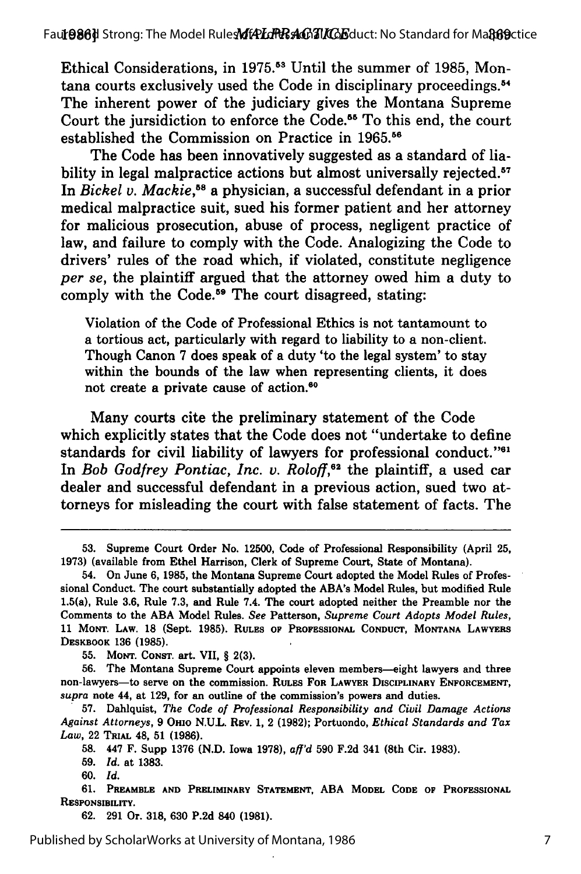Ethical Considerations, in 1975.<sup>53</sup> Until the summer of 1985, Montana courts exclusively used the Code in disciplinary proceedings.<sup>54</sup> The inherent power of the judiciary gives the Montana Supreme Court the jursidiction to enforce the Code.<sup>55</sup> To this end, the court established the Commission on Practice in 1965.<sup>56</sup>

The Code has been innovatively suggested as a standard of liability in legal malpractice actions but almost universally rejected.<sup>57</sup> In *Bickel v. Mackie*,<sup>58</sup> a physician, a successful defendant in a prior medical malpractice suit, sued his former patient and her attorney for malicious prosecution, abuse of process, negligent practice of law, and failure to comply with the Code. Analogizing the Code to drivers' rules of the road which, if violated, constitute negligence *per se,* the plaintiff argued that the attorney owed him a duty to comply with the Code.<sup>59</sup> The court disagreed, stating:

Violation of the Code of Professional Ethics is not tantamount to a tortious act, particularly with regard to liability to a non-client. Though Canon 7 does speak of a duty 'to the legal system' to stay within the bounds of the law when representing clients, it does not create a private cause of action.<sup>60</sup>

Many courts cite the preliminary statement of the Code which explicitly states that the Code does not "undertake to define standards for civil liability of lawyers for professional conduct."<sup>61</sup> In *Bob Godfrey Pontiac, Inc. v. Roloff*,<sup>62</sup> the plaintiff, a used car dealer and successful defendant in a previous action, sued two attorneys for misleading the court with false statement of facts. The

**55. MONT. CONST.** art. VII, § **2(3).**

**56.** The Montana Supreme Court appoints eleven members-eight lawyers and **three** non-lawyers-to serve on the commission. RULES FOR LAWYER **DISCIPLINARY ENFORCEMENT,** *supra* note 44, at **129,** for an outline of the commission's powers and duties.

**57.** Dahlquist, *The Code of Professional Responsibility and Civil Damage Actions Against Attorneys,* **9** OHIO N.U.L. REv. 1, 2 **(1982);** Portuondo, *Ethical Standards and Tax Law,* 22 **TRIAL** 48, **51 (1986).**

**58.** 447 F. Supp **1376** (N.D. Iowa **1978),** *afl'd* **590** F.2d 341 (8th Cir. **1983).**

**59.** *Id.* **at 1383.**

**60.** *Id.*

**61. PREAMBLE AND PRELIMINARY STATEMENT, ABA MODEL CODE OF PROFESSIONAL RESPONSIBILITY.**

**62. 291** Or. **318, 630 P.2d** 840 **(1981).**

<sup>53.</sup> Supreme Court Order No. 12500, Code of Professional Responsibility (April 25, 1973) (available from Ethel Harrison, Clerk of Supreme Court, State of Montana).

<sup>54.</sup> On June 6, 1985, the Montana Supreme Court adopted the Model Rules of Professional Conduct. The court substantially adopted the ABA's Model Rules, but modified Rule 1.5(a), Rule 3.6, Rule 7.3, and Rule 7.4. The court adopted neither the Preamble nor the Comments to the ABA Model Rules. *See* Patterson, *Supreme Court Adopts Model Rules,* **11** MONT. **LAW. 18** (Sept. **1985).** RULES **OF PROFESSIONAL CONDUCT, MONTANA LAWYERS DESKBOOK 136 (1985).**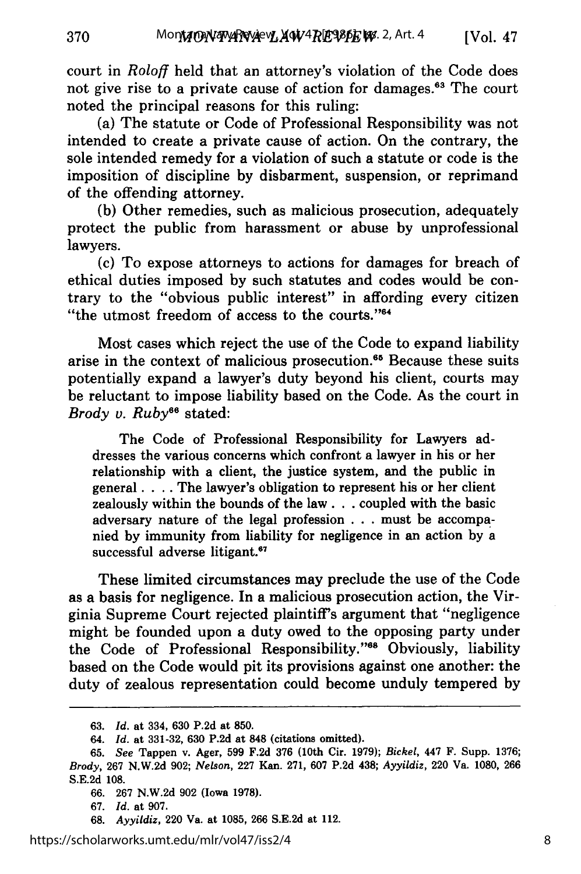court in *Roloff* held that an attorney's violation of the Code does not give rise to a private cause of action for damages.<sup>63</sup> The court noted the principal reasons for this ruling:

(a) The statute or Code of Professional Responsibility was not intended to create a private cause of action. On the contrary, the sole intended remedy for a violation of such a statute or code is the imposition of discipline by disbarment, suspension, or reprimand of the offending attorney.

(b) Other remedies, such as malicious prosecution, adequately protect the public from harassment or abuse by unprofessional lawyers.

(c) To expose attorneys to actions for damages for breach of ethical duties imposed by such statutes and codes would be contrary to the "obvious public interest" in affording every citizen "the utmost freedom of access to the courts."<sup>64</sup>

Most cases which reject the use of the Code to expand liability arise in the context of malicious prosecution.<sup>65</sup> Because these suits potentially expand a lawyer's duty beyond his client, courts may be reluctant to impose liability based on the Code. As the court in *Brody v. Ruby*<sup>66</sup> stated:

The Code of Professional Responsibility for Lawyers addresses the various concerns which confront a lawyer in his or her relationship with a client, the justice system, and the public in general . **. .** . The lawyer's obligation to represent his or her client zealously within the bounds of the law **...** coupled with the basic adversary nature of the legal profession . . . must be accompanied by immunity from liability for negligence in an action by a successful adverse litigant.<sup>67</sup>

These limited circumstances may preclude the use of the Code as a basis for negligence. In a malicious prosecution action, the Virginia Supreme Court rejected plaintiff's argument that "negligence might be founded upon a duty owed to the opposing party under the Code of Professional Responsibility."<sup>68</sup> Obviously, liability based on the Code would pit its provisions against one another: the duty of zealous representation could become unduly tempered by

**68.** *Ayyildiz,* 220 Va. at **1085, 266 S.E.2d** at 112.

<sup>63.</sup> *Id.* at 334, 630 P.2d at 850.

<sup>64.</sup> *Id.* at **331-32, 630 P.2d** at **848** (citations omitted).

**<sup>65.</sup>** *See* Tappen v. Ager, **599 F.2d 376** (10th Cir. **1979);** *Bickel,* 447 F. Supp. **1376;** *Brody,* **267 N.W.2d 902;** *Nelson,* **227** Kan. **271, 607 P.2d** 438; *Ayyildiz,* 220 Va. **1080, 266 S.E.2d 108.**

**<sup>66. 267</sup> N.W.2d 902** (Iowa **1978).**

**<sup>67.</sup>** *Id.* at **907.**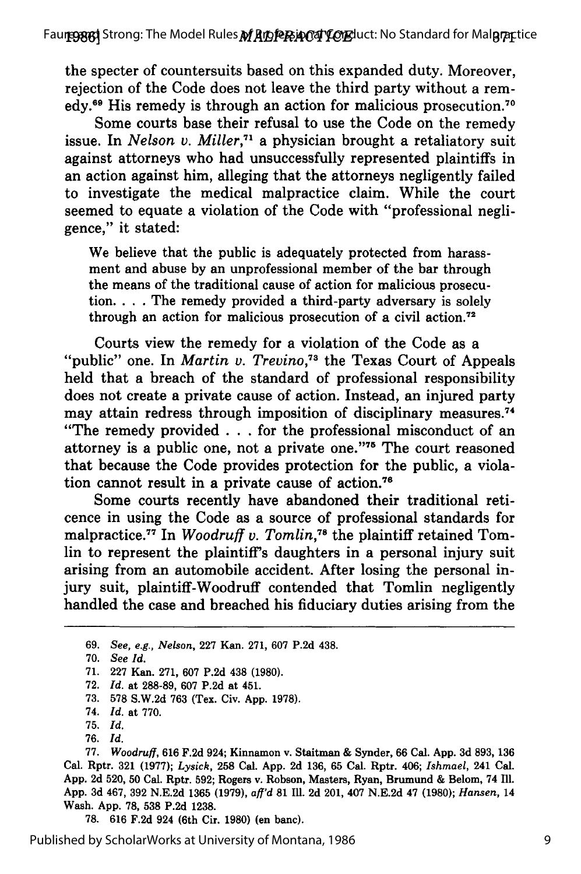the specter of countersuits based on this expanded duty. Moreover, rejection of the Code does not leave the third party without a remedy.<sup>69</sup> His remedy is through an action for malicious prosecution.<sup>70</sup>

Some courts base their refusal to use the Code on the remedy issue. In *Nelson v. Miller,71* a physician brought a retaliatory suit against attorneys who had unsuccessfully represented plaintiffs in an action against him, alleging that the attorneys negligently failed to investigate the medical malpractice claim. While the court seemed to equate a violation of the Code with "professional negligence," it stated:

We believe that the public is adequately protected from harassment and abuse by an unprofessional member of the bar through the means of the traditional cause of action for malicious prosecution. . **.** . The remedy provided a third-party adversary is solely through an action for malicious prosecution of a civil action.<sup>72</sup>

Courts view the remedy for a violation of the Code as a "public" one. In *Martin v. Trevino*,<sup>73</sup> the Texas Court of Appeals held that a breach of the standard of professional responsibility does not create a private cause of action. Instead, an injured party may attain redress through imposition of disciplinary measures.74 "The remedy provided **. . .**for the professional misconduct of an attorney is a public one, not a private one."'75 The court reasoned that because the Code provides protection for the public, a violation cannot result in a private cause of action.<sup>76</sup>

Some courts recently have abandoned their traditional reticence in using the Code as a source of professional standards for malpractice.<sup>77</sup> In *Woodruff v. Tomlin*,<sup>78</sup> the plaintiff retained Tomlin to represent the plaintiff's daughters in a personal injury suit arising from an automobile accident. After losing the personal injury suit, plaintiff-Woodruff contended that Tomlin negligently handled the case and breached his fiduciary duties arising from the

**70.** *See Id.*

**<sup>69.</sup>** *See, e.g., Nelson,* **227** Kan. **271, 607 P.2d** 438.

**<sup>71. 227</sup>** Kan. **271, 607 P.2d** 438 **(1980).**

**<sup>72.</sup>** *Id.* at **288-89, 607 P.2d** at 451.

**<sup>73. 578</sup> S.W.2d 763** (Tex. Civ. **App. 1978).**

<sup>74.</sup> *Id.* at **770.**

<sup>75.</sup> *Id.*

<sup>76.</sup> *Id.*

**<sup>77.</sup>** *Woodruff,* **616 F.2d** 924; Kinnamon v. Staitman **&** Synder, **66** Cal. **App. 3d 893, 136** Cal. Rptr. 321 (1977); *Lysick,* 258 Cal. App. 2d 136, 65 Cal. Rptr. 406; *Ishmael,* 241 Cal. App. 2d 520, 50 Cal. Rptr. 592; Rogers v. Robson, Masters, Ryan, Brumund & Belom, 74 Ill. App. 3d 467, 392 N.E.2d 1365 (1979), *aff'd* **81** IIl. 2d 201, 407 N.E.2d 47 (1980); *Hansen,* 14 Wash. App. 78, 538 P.2d 1238.

<sup>78. 616</sup> F.2d 924 (6th Cir. 1980) (en banc).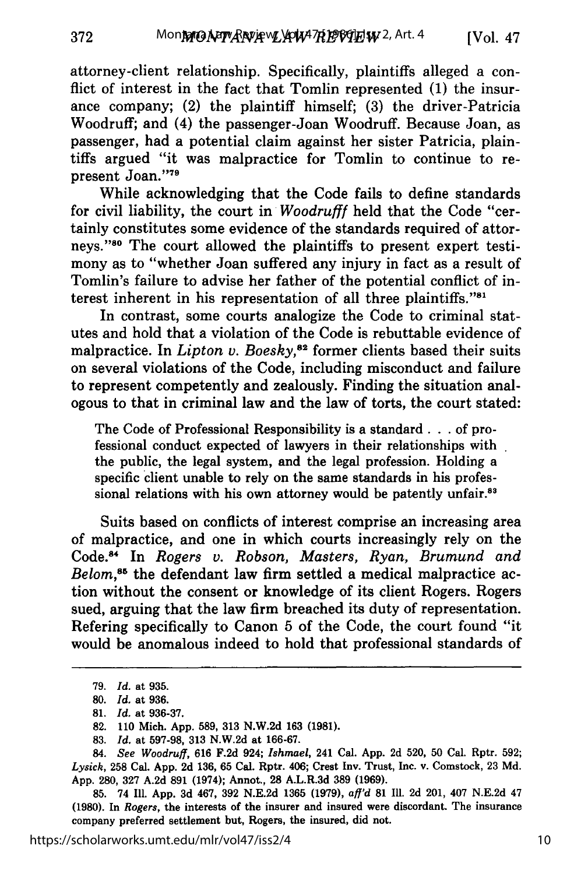attorney-client relationship. Specifically, plaintiffs alleged a conflict of interest in the fact that Tomlin represented (1) the insurance company; (2) the plaintiff himself; (3) the driver-Patricia Woodruff; and (4) the passenger-Joan Woodruff. Because Joan, as passenger, had a potential claim against her sister Patricia, plaintiffs argued "it was malpractice for Tomlin to continue to represent Joan."79

While acknowledging that the Code fails to define standards for civil liability, the court in *Woodrufff* held that the Code "certainly constitutes some evidence of the standards required of attorneys."80 The court allowed the plaintiffs to present expert testimony as to "whether Joan suffered any injury in fact as a result of Tomlin's failure to advise her father of the potential conflict of interest inherent in his representation of all three plaintiffs."<sup>81</sup>

In contrast, some courts analogize the Code to criminal statutes and hold that a violation of the Code is rebuttable evidence of malpractice. In *Lipton v. Boesky,82* former clients based their suits on several violations of the Code, including misconduct and failure to represent competently and zealously. Finding the situation analogous to that in criminal law and the law of torts, the court stated:

The Code of Professional Responsibility is a standard. **. .** of professional conduct expected of lawyers in their relationships with the public, the legal system, and the legal profession. Holding a specific client unable to rely on the same standards in his professional relations with his own attorney would be patently unfair.<sup>83</sup>

Suits based on conflicts of interest comprise an increasing area of malpractice, and one in which courts increasingly rely on the Code. 4 In *Rogers v. Robson, Masters, Ryan, Brumund and Belom*,<sup>85</sup> the defendant law firm settled a medical malpractice action without the consent or knowledge of its client Rogers. Rogers sued, arguing that the law firm breached its duty of representation. Refering specifically to Canon 5 of the Code, the court found "it would be anomalous indeed to hold that professional standards of

<sup>79.</sup> *Id.* at 935.

**<sup>80.</sup>** *Id.* at 936.

<sup>81.</sup> *Id.* at 936-37.

<sup>82. 110</sup> Mich. App. 589, 313 N.W.2d 163 **(1981).**

<sup>83.</sup> *Id.* at 597-98, 313 N.W.2d at 166-67.

<sup>84.</sup> *See Woodruff,* 616 F.2d 924; *Ishmael,* 241 Cal. App. 2d 520, 50 Cal. Rptr. 592; *Lysick,* **258** Cal. App. 2d 136, 65 Cal. Rptr. 406; Crest Inv. Trust, Inc. v. Comstock, 23 Md. App. 280, 327 A.2d **891** (1974); Annot., **28** A.L.R.3d **389** (1969).

<sup>85. 74</sup> Ill. App. 3d 467, 392 N.E.2d 1365 (1979), *aff'd* **81** Ill. 2d 201, 407 N.E.2d 47 **(1980).** In *Rogers,* the interests of the insurer and insured were discordant. The insurance company preferred settlement but, Rogers, the insured, did not.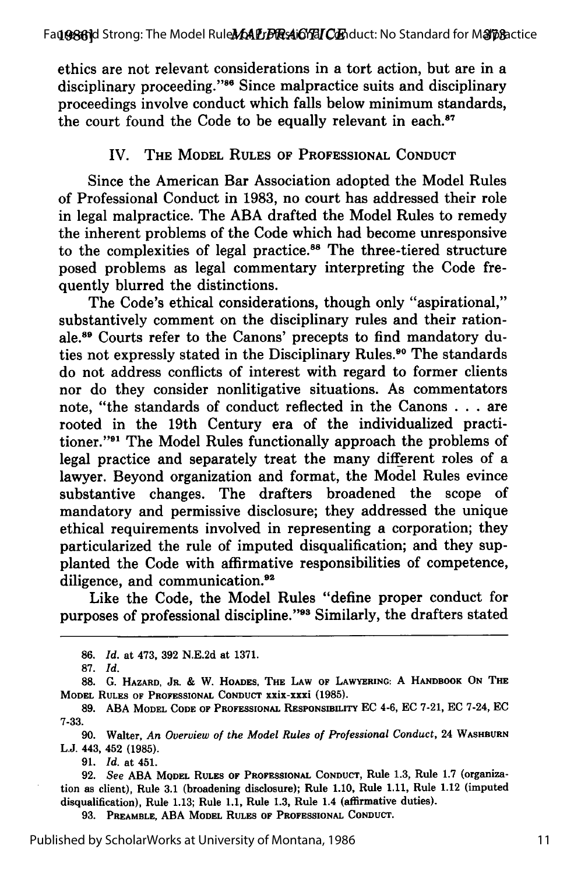ethics are not relevant considerations in a tort action, but are in a disciplinary proceeding."<sup>86</sup> Since malpractice suits and disciplinary proceedings involve conduct which falls below minimum standards, the court found the Code to be equally relevant in each. $87$ 

### IV. THE MODEL RULES OF PROFESSIONAL CONDUCT

Since the American Bar Association adopted the Model Rules of Professional Conduct in **1983,** no court has addressed their role in legal malpractice. The ABA drafted the Model Rules to remedy the inherent problems of the Code which had become unresponsive to the complexities of legal practice.<sup>88</sup> The three-tiered structure posed problems as legal commentary interpreting the Code frequently blurred the distinctions.

The Code's ethical considerations, though only "aspirational," substantively comment on the disciplinary rules and their rationale.89 Courts refer to the Canons' precepts to find mandatory duties not expressly stated in the Disciplinary Rules.<sup>90</sup> The standards do not address conflicts of interest with regard to former clients nor do they consider nonlitigative situations. As commentators note, "the standards of conduct reflected in the Canons . . . are rooted in the 19th Century era of the individualized practitioner."91 The Model Rules functionally approach the problems of legal practice and separately treat the many different roles of a lawyer. Beyond organization and format, the Model Rules evince substantive changes. The drafters broadened the scope of mandatory and permissive disclosure; they addressed the unique ethical requirements involved in representing a corporation; they particularized the rule of imputed disqualification; and they supplanted the Code with affirmative responsibilities of competence, diligence, and communication.<sup>92</sup>

Like the Code, the Model Rules "define proper conduct for purposes of professional discipline."<sup>93</sup> Similarly, the drafters stated

**91.** *Id.* at 451.

**93. PREAMBLE, ABA MODEL RULES** OF **PROFESSIONAL CONDUCT.**

**<sup>86.</sup>** *Id.* at 473, **392** N.E.2d at **1371.**

**<sup>87.</sup>** *Id.*

**<sup>88.</sup> G. HAZARD, JR.** & W. HOADES, **THE LAW** OF **LAWYERING:** A **HANDBOOK ON THE** MODEL **RULES OF PROFESSIONAL CONDUCT** XXiX-Xxxi **(1985).**

**<sup>89.</sup> ABA MODEL CODE** OF **PROFESSIONAL** RESPONSIBILITY EC 4-6, EC 7-21, EC 7-24, EC **7-33.**

**<sup>90.</sup>** Walter, *An Overview of the Model Rules of Professional Conduct,* 24 **WASHBURN** L.J. 443, 452 (1985).

**<sup>92.</sup>** *See* ABA **MODEL RULES** OF **PROFESSIONAL** CONDUCT, Rule 1.3, Rule 1.7 (organization as client), Rule **3.1** (broadening disclosure); Rule 1.10, Rule 1.11, Rule 1.12 (imputed disqualification), Rule 1.13; Rule 1.1, Rule 1.3, Rule 1.4 (affirmative duties).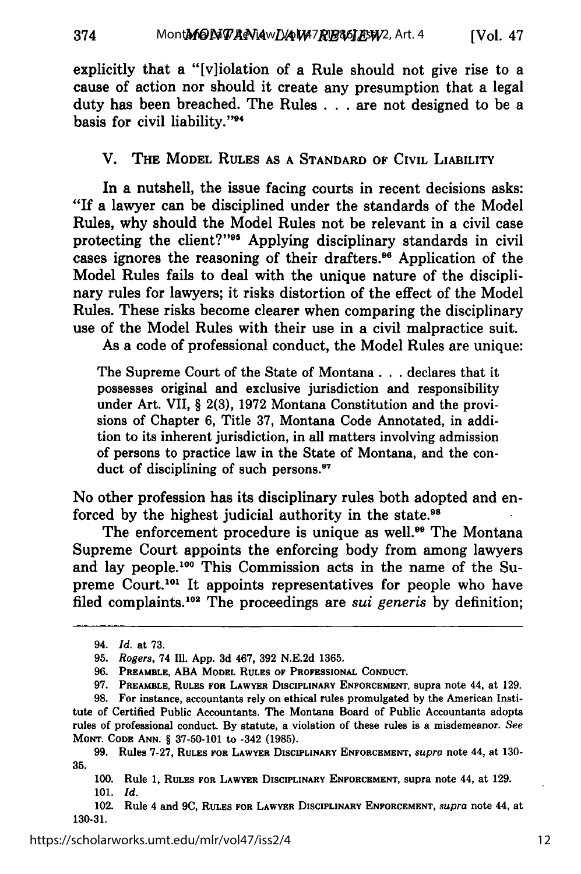explicitly that a "[v]iolation of a Rule should not give rise to a cause of action nor should it create any presumption that a legal duty has been breached. The Rules . . . are not designed to be a basis for civil liability."<sup>94</sup>

#### V. **THE MODEL RULES AS A STANDARD OF CIVIL LIABILITY**

In a nutshell, the issue facing courts in recent decisions asks: **"If** a lawyer can be disciplined under the standards of the Model Rules, why should the Model Rules not be relevant in a civil case protecting the client?"<sup>95</sup> Applying disciplinary standards in civil cases ignores the reasoning of their drafters." Application of the Model Rules fails to deal with the unique nature of the disciplinary rules for lawyers; it risks distortion of the effect of the Model Rules. These risks become clearer when comparing the disciplinary use of the Model Rules with their use in a civil malpractice suit.

As a code of professional conduct, the Model Rules are unique:

The Supreme Court of the State of Montana **...** declares that **it** possesses original and exclusive jurisdiction and responsibility under Art. VII, § **2(3), 1972** Montana Constitution and the provisions of Chapter **6,** Title **37,** Montana Code Annotated, in addition to its inherent jurisdiction, in all matters involving admission of persons to practice law in the State of Montana, and the conduct of disciplining of such persons.<sup>97</sup>

No other profession has its disciplinary rules both adopted and enforced by the highest judicial authority in the state.<sup>98</sup>

The enforcement procedure is unique as well.<sup>99</sup> The Montana Supreme Court appoints the enforcing body from among lawyers and lay people.100 This Commission acts in the name of the Supreme Court.<sup>101</sup> It appoints representatives for people who have filed complaints.<sup>102</sup> The proceedings are *sui generis* by definition;

<sup>94.</sup> *Id.* at **73.**

**<sup>95.</sup>** *Rogers,* 74 **111. App. 3d** 467, **392 N.E.2d 1365.**

**<sup>96.</sup> PREAMBLE, ABA MODEL RULES OF PROFESSIONAL CONDUCT.**

**<sup>97.</sup> PREAMBLE, RULES FOR LAWYER DISCIPLINARY ENFORCEMENT, supra note** 44, at **129.**

**<sup>98.</sup> For instance, accountants rely on ethical rules promulgated by** the American Institute of Certified Public **Accountants.** The Montana Board of Public **Accountants adopts** rules of professional **conduct. By statute, a violation of these rules** is a misdemeanor. *See* **MONT. CODE ANN.** § **37-50-101** to -342 **(1985).**

**<sup>99.</sup> Rules 7-27, RULES FOR LAWYER DISCIPLINARY ENFORCEMENT,** *supra* note 44, at **130- 35.**

**<sup>100.</sup>** Rule **1, RULES FOR LAWYER DISCIPLINARY ENFORCEMENT, supra note** 44, at **129. 101.** *Id.*

<sup>102.</sup> Rule 4 and **9C, RULES FOR LAWYER DISCIPLINARY ENFORCEMENT,** *supra* note 44, at **130-31.**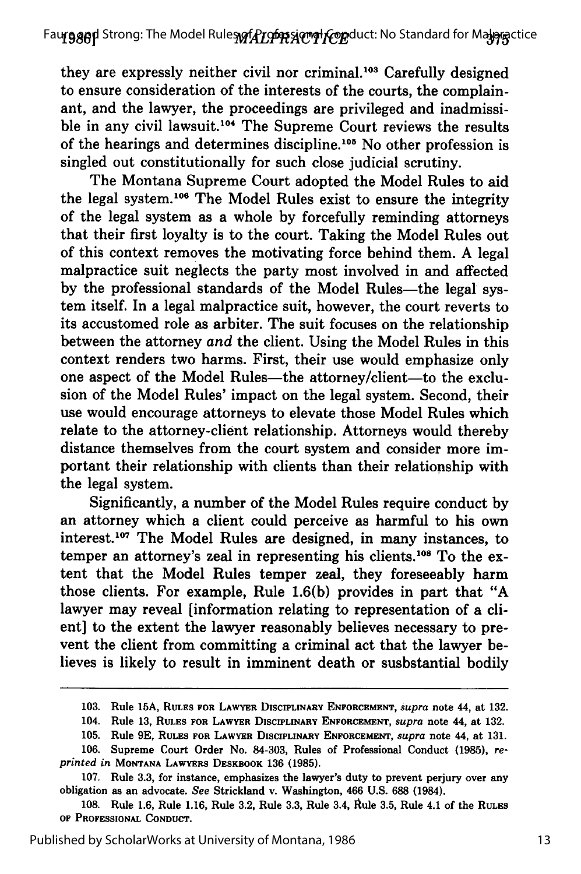they are expressly neither civil nor criminal.<sup>103</sup> Carefully designed to ensure consideration of the interests of the courts, the complainant, and the lawyer, the proceedings are privileged and inadmissible in any civil lawsuit.<sup>104</sup> The Supreme Court reviews the results of the hearings and determines discipline.<sup>105</sup> No other profession is singled out constitutionally for such close judicial scrutiny.

The Montana Supreme Court adopted the Model Rules to aid the legal system.<sup>106</sup> The Model Rules exist to ensure the integrity of the legal system as a whole **by** forcefully reminding attorneys that their first loyalty is to the court. Taking the Model Rules out of this context removes the motivating force behind them. **A** legal malpractice suit neglects the party most involved in and affected **by** the professional standards of the Model Rules-the legal system itself. In a legal malpractice suit, however, the court reverts to its accustomed role as arbiter. The suit focuses on the relationship between the attorney *and* the client. Using the Model Rules in this context renders two harms. First, their use would emphasize only one aspect of the Model Rules-the attorney/client-to the exclusion of the Model Rules' impact on the legal system. Second, their use would encourage attorneys to elevate those Model Rules which relate to the attorney-client relationship. Attorneys would thereby distance themselves from the court system and consider more important their relationship with clients than their relationship with the legal system.

Significantly, a number of the Model Rules require conduct by an attorney which a client could perceive as harmful to his own interest.<sup>107</sup> The Model Rules are designed, in many instances, to temper an attorney's zeal in representing his clients.<sup>108</sup> To the extent that the Model Rules temper zeal, they foreseeably harm those clients. For example, Rule 1.6(b) provides in part that "A lawyer may reveal [information relating to representation of a client] to the extent the lawyer reasonably believes necessary to prevent the client from committing a criminal act that the lawyer believes is likely to result in imminent death or susbstantial bodily

<sup>103.</sup> Rule **15A, RULES FOR LAWYER DISCIPLINARY ENFORCEMENT,** *supra* note 44, at **132.**

<sup>104.</sup> Rule **13, RULES FOR LAWYER DISCIPLINARY ENFORCEMENT,** *supra* note 44, at **132.**

**<sup>105.</sup>** Rule **9E, RULES FOR LAWYER** DISCIPLINARY **ENFORCEMENT,** *supra* **note** 44, at **131.**

**<sup>106.</sup>** Supreme Court Order No. **84-303,** Rules of Professional Conduct **(1985),** *reprinted* **in MONTANA LAWYERS DESKBOOK 136 (1985).**

**<sup>107.</sup>** Rule **3.3,** for instance, emphasizes the lawyer's duty to prevent perjury over any obligation as an advocate. *See* Strickland v. **Washington,** 466 **U.S. 688** (1984).

**<sup>108.</sup>** Rule **1.6,** Rule **1.16,** Rule **3.2,** Rule **3.3,** Rule 3.4, Rule **3.5,** Rule 4.1 of the **RULES** OF **PROFESSIONAL CONDUCT.**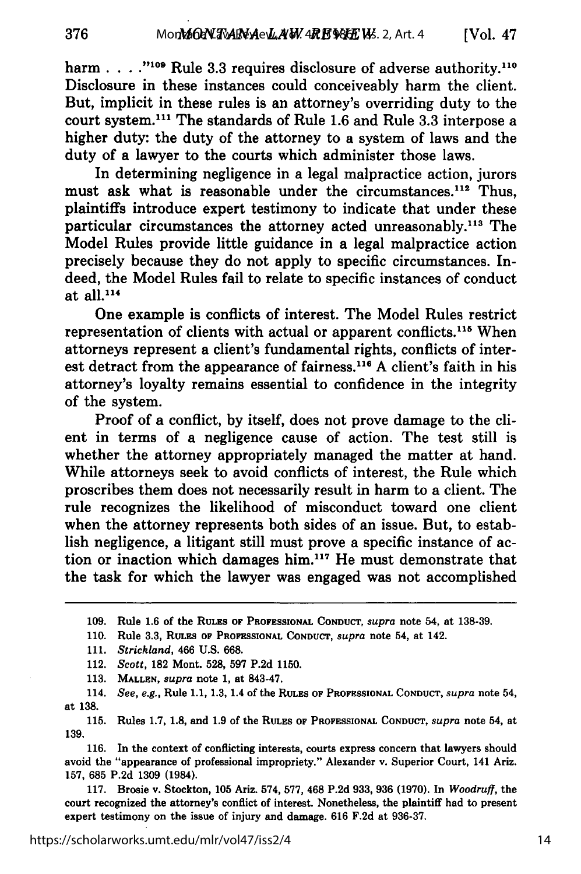harm . . . . "<sup>109</sup> Rule 3.3 requires disclosure of adverse authority.<sup>110</sup> Disclosure in these instances could conceiveably harm the client. But, implicit in these rules is an attorney's overriding duty to the court system.<sup>111</sup> The standards of Rule 1.6 and Rule 3.3 interpose a higher duty: the duty of the attorney to a system of laws and the duty of a lawyer to the courts which administer those laws.

In determining negligence in a legal malpractice action, jurors must ask what is reasonable under the circumstances.<sup>112</sup> Thus, plaintiffs introduce expert testimony to indicate that under these particular circumstances the attorney acted unreasonably.<sup>113</sup> The Model Rules provide little guidance in a legal malpractice action precisely because they do not apply to specific circumstances. Indeed, the Model Rules fail to relate to specific instances of conduct at all.1<sup>4</sup>

One example is conflicts of interest. The Model Rules restrict representation of clients with actual or apparent conflicts.<sup>115</sup> When attorneys represent a client's fundamental rights, conflicts of interest detract from the appearance of fairness.<sup>116</sup> A client's faith in his attorney's loyalty remains essential to confidence in the integrity of the system.

Proof of a conflict, by itself, does not prove damage to the client in terms of a negligence cause of action. The test still is whether the attorney appropriately managed the matter at hand. While attorneys seek to avoid conflicts of interest, the Rule which proscribes them does not necessarily result in harm to a client. The rule recognizes the likelihood of misconduct toward one client when the attorney represents both sides of an issue. But, to establish negligence, a litigant still must prove a specific instance of action or inaction which damages him.<sup>117</sup> He must demonstrate that the task for which the lawyer was engaged was not accomplished

**113. MALLEN,** *supra* **note 1,** at 843-47.

114. *See, e.g.,* Rule **1.1, 1.3,** 1.4 of the **RULES OF PROFESSIONAL CONDUCT,** *supra* note 54, at **138.**

**115.** Rules **1.7, 1.8,** and **1.9** of the RULES **OF PROFESSIONAL CONDUCT,** *supra* note 54, at **139.**

116. In the context of conflicting interests, courts express concern that lawyers should avoid the "appearance of professional impropriety." Alexander v. Superior Court, 141 Ariz. **157,** 685 **P.2d 1309** (1984).

**117.** Brosie v. Stockton, **105** Ariz. 574, **577,** 468 **P.2d 933, 936 (1970).** In *Woodruff,* the court recognized the attorney's conflict of interest. Nonetheless, the plaintiff had to present expert testimony on the issue of injury and damage. **616 F.2d** at **936-37.**

**<sup>109.</sup>** Rule **1.6** of the **RULES** OF **PROFESSIONAL CONDUCT,** *supra* note 54, at **138-39.**

**<sup>110.</sup>** Rule **3.3, RULES OF PROFESSIONAL CONDUCT,** *supra* **note** 54, at 142.

**<sup>111.</sup>** *Strickland,* 466 **U.S. 668.**

<sup>112.</sup> *Scott,* **182** Mont. **528, 597 P.2d 1150.**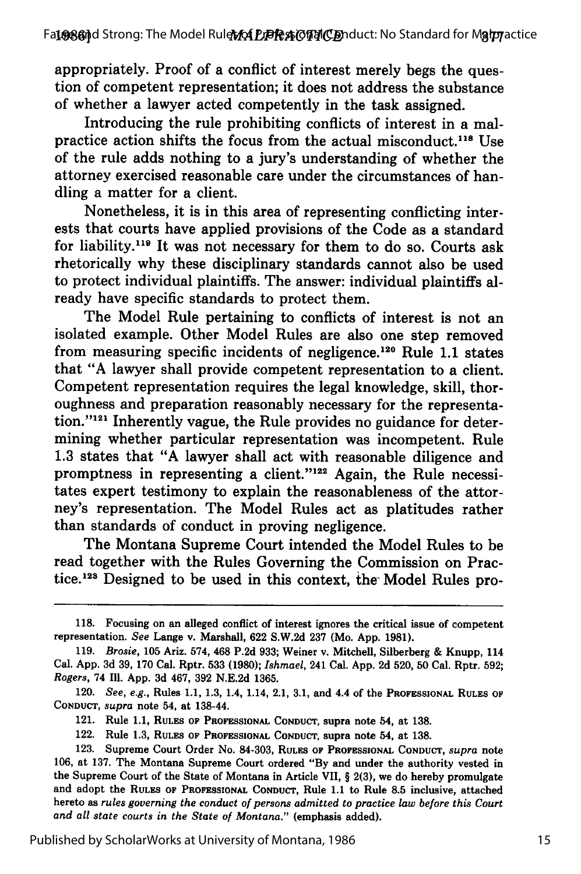appropriately. Proof of a conflict of interest merely begs the question of competent representation; it does not address the substance of whether a lawyer acted competently in the task assigned.

Introducing the rule prohibiting conflicts of interest in a malpractice action shifts the focus from the actual misconduct.<sup>118</sup> Use of the rule adds nothing to a jury's understanding of whether the attorney exercised reasonable care under the circumstances of handling a matter for a client.

Nonetheless, it is in this area of representing conflicting interests that courts have applied provisions of the Code as a standard for liability.<sup>119</sup> It was not necessary for them to do so. Courts ask rhetorically why these disciplinary standards cannot also be used to protect individual plaintiffs. The answer: individual plaintiffs already have specific standards to protect them.

The Model Rule pertaining to conflicts of interest is not an isolated example. Other Model Rules are also one step removed from measuring specific incidents of negligence.<sup>120</sup> Rule 1.1 states that "A lawyer shall provide competent representation to a client. Competent representation requires the legal knowledge, skill, thoroughness and preparation reasonably necessary for the representation."<sup>121</sup> Inherently vague, the Rule provides no guidance for determining whether particular representation was incompetent. Rule 1.3 states that "A lawyer shall act with reasonable diligence and promptness in representing a client."<sup>122</sup> Again, the Rule necessitates expert testimony to explain the reasonableness of the attorney's representation. The Model Rules act as platitudes rather than standards of conduct in proving negligence.

The Montana Supreme Court intended the Model Rules to be read together with the Rules Governing the Commission on Practice.<sup>123</sup> Designed to be used in this context, the Model Rules pro-

**<sup>118.</sup>** Focusing on an alleged conflict of interest ignores the critical issue of competent representation. *See* Lange v. Marshall, **622 S.W.2d 237** (Mo. **App. 1981).**

**<sup>119.</sup>** *Brosie,* **105** Ariz. 574, 468 **P.2d 933;** Weiner v. Mitchell, Silberberg **&** Knupp, 114 Cal. **App. 3d 39, 170** Cal. Rptr. **533 (1980);** *Ishmael,* 241 Cal. **App. 2d 520, 50** Cal. Rptr. **592;** *Rogers,* 74 Ill. **App. 3d** 467, **392 N.E.2d 1365.**

<sup>120.</sup> *See, e.g.,* Rules **1.1, 1.3,** 1.4, 1.14, 2.1, **3.1,** and 4.4 of the **PROFESSIONAL RULES** OF **CONDUCT,** *supra* note 54, at 138-44.

<sup>121.</sup> Rule **1.1, RULES OF PROFESSIONAL** CONDUCT, supra note 54, at **138.**

<sup>122.</sup> Rule 1.3, **RULES OF PROFESSIONAL CONDUCT,** supra note 54, at **138.**

**<sup>123.</sup>** Supreme Court Order No. **84-303,** RULES OF **PROFESSIONAL CONDUCT,** *supra* note **106,** at **137.** The Montana Supreme Court ordered **"By** and under the authority vested in the Supreme Court of the State of Montana in Article **VII,** § **2(3),** we do hereby promulgate and adopt the **RULES** OF PROFESSIONAL CONDUCT, Rule **1.1** to Rule **8.5** inclusive, attached hereto as *rules governing the conduct of persons admitted to practice law before this Court and all state courts in the State of Montana."* (emphasis added).